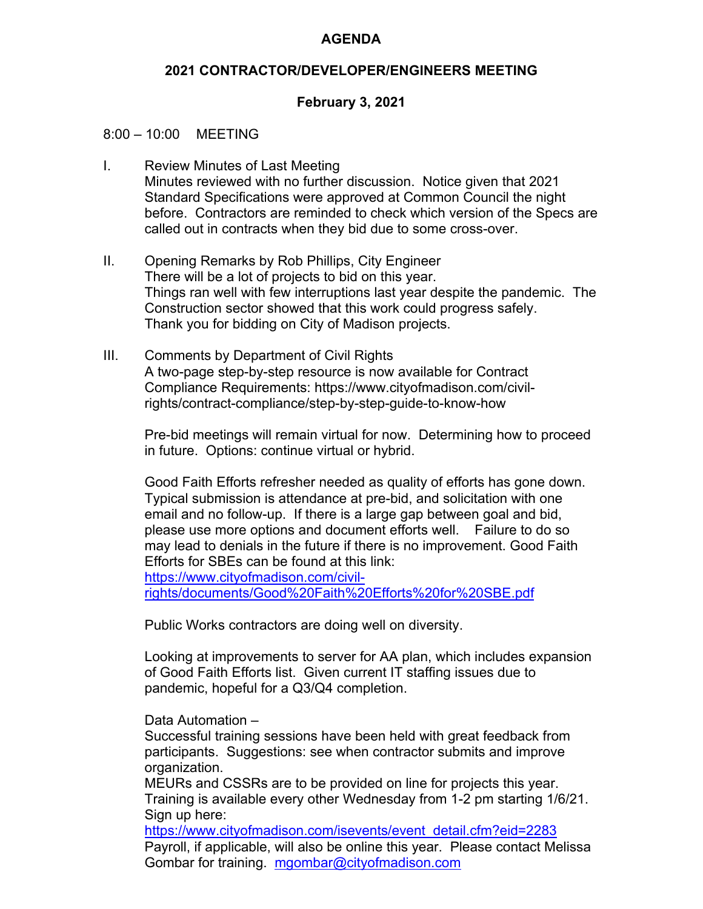## **AGENDA**

## **2021 CONTRACTOR/DEVELOPER/ENGINEERS MEETING**

## **February 3, 2021**

### 8:00 – 10:00 MEETING

- I. Review Minutes of Last Meeting Minutes reviewed with no further discussion. Notice given that 2021 Standard Specifications were approved at Common Council the night before. Contractors are reminded to check which version of the Specs are called out in contracts when they bid due to some cross-over.
- II. Opening Remarks by Rob Phillips, City Engineer There will be a lot of projects to bid on this year. Things ran well with few interruptions last year despite the pandemic. The Construction sector showed that this work could progress safely. Thank you for bidding on City of Madison projects.
- III. Comments by Department of Civil Rights A two-page step-by-step resource is now available for Contract Compliance Requirements: https://www.cityofmadison.com/civilrights/contract-compliance/step-by-step-guide-to-know-how

Pre-bid meetings will remain virtual for now. Determining how to proceed in future. Options: continue virtual or hybrid.

Good Faith Efforts refresher needed as quality of efforts has gone down. Typical submission is attendance at pre-bid, and solicitation with one email and no follow-up. If there is a large gap between goal and bid, please use more options and document efforts well. Failure to do so may lead to denials in the future if there is no improvement. Good Faith Efforts for SBEs can be found at this link: https://www.cityofmadison.com/civilrights/documents/Good%20Faith%20Efforts%20for%20SBE.pdf

Public Works contractors are doing well on diversity.

Looking at improvements to server for AA plan, which includes expansion of Good Faith Efforts list. Given current IT staffing issues due to pandemic, hopeful for a Q3/Q4 completion.

#### Data Automation –

Successful training sessions have been held with great feedback from participants. Suggestions: see when contractor submits and improve organization.

MEURs and CSSRs are to be provided on line for projects this year. Training is available every other Wednesday from 1-2 pm starting 1/6/21. Sign up here:

https://www.cityofmadison.com/isevents/event\_detail.cfm?eid=2283 Payroll, if applicable, will also be online this year. Please contact Melissa Gombar for training. mgombar@cityofmadison.com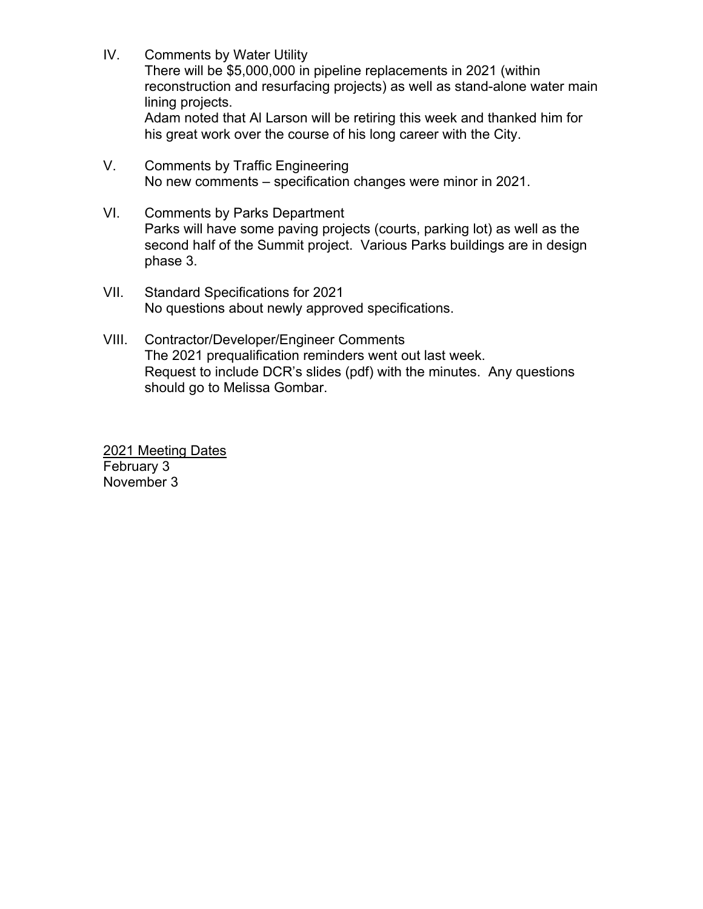- IV. Comments by Water Utility There will be \$5,000,000 in pipeline replacements in 2021 (within reconstruction and resurfacing projects) as well as stand-alone water main lining projects. Adam noted that Al Larson will be retiring this week and thanked him for his great work over the course of his long career with the City.
- V. Comments by Traffic Engineering No new comments – specification changes were minor in 2021.
- VI. Comments by Parks Department Parks will have some paving projects (courts, parking lot) as well as the second half of the Summit project. Various Parks buildings are in design phase 3.
- VII. Standard Specifications for 2021 No questions about newly approved specifications.
- VIII. Contractor/Developer/Engineer Comments The 2021 prequalification reminders went out last week. Request to include DCR's slides (pdf) with the minutes. Any questions should go to Melissa Gombar.

2021 Meeting Dates February 3 November 3